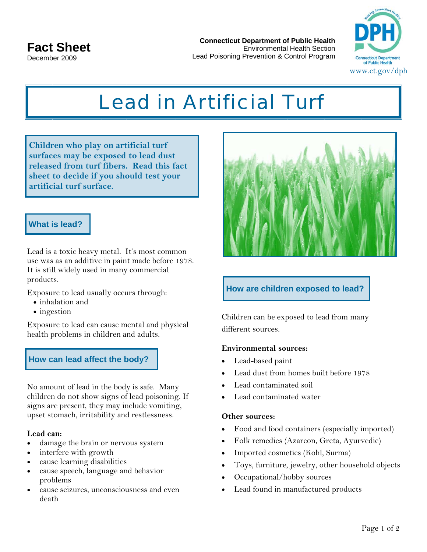**Connecticut Department of Public Health**  Environmental Health Section Lead Poisoning Prevention & Control Program



# *Lead in Artificial Turf*

**Children who play on artificial turf surfaces may be exposed to lead dust released from turf fibers. Read this fact sheet to decide if you should test your artificial turf surface.** 

## **What is lead?**

Lead is a toxic heavy metal. It's most common use was as an additive in paint made before 1978. It is still widely used in many commercial products.

Exposure to lead usually occurs through:

- inhalation and
- ingestion

Exposure to lead can cause mental and physical health problems in children and adults.

# **How can lead affect the body?**

No amount of lead in the body is safe. Many children do not show signs of lead poisoning. If signs are present, they may include vomiting, upset stomach, irritability and restlessness.

### **Lead can:**

- damage the brain or nervous system
- interfere with growth
- cause learning disabilities
- cause speech, language and behavior problems
- cause seizures, unconsciousness and even death



# **How are children exposed to lead?**

Children can be exposed to lead from many different sources.

### **Environmental sources:**

- Lead-based paint
- Lead dust from homes built before 1978
- Lead contaminated soil
- Lead contaminated water

#### **Other sources:**

- Food and food containers (especially imported)
- Folk remedies (Azarcon, Greta, Ayurvedic)
- Imported cosmetics (Kohl, Surma)
- Toys, furniture, jewelry, other household objects
- Occupational/hobby sources
- Lead found in manufactured products